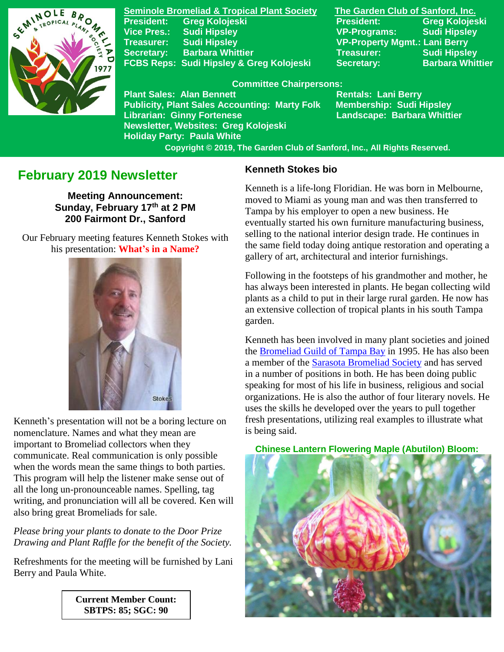

**Seminole Bromeliad & Tropical Plant Society The Garden Club of Sanford, Inc. President: Greg Kolojeski President: Greg Kolojeski Vice Pres.: Sudi Hipsley VP-Programs: Sudi Hipsley Treasurer: Sudi Hipsley VP-Property Mgmt.: Lani Berry Secretary:** Barbara Whittier **Network Secretary: Sudi Hipsley FCBS Reps: Sudi Hipsley & Greg Kolojeski Secretary: Barbara Whittier** 

#### **Committee Chairpersons:**

**Plant Sales: Alan Bennett** Rentals: Lani Berry **Publicity, Plant Sales Accounting: Marty Folk Membership: Sudi Hipsley Librarian: Ginny Fortenese Landscape: Barbara Whittier Newsletter, Websites: Greg Kolojeski Holiday Party: Paula White** 

 **Copyright © 2019, The Garden Club of Sanford, Inc., All Rights Reserved.**

# **February 2019 Newsletter**

**Meeting Announcement: Sunday, February 17th at 2 PM 200 Fairmont Dr., Sanford**

 Our February meeting features Kenneth Stokes with his presentation: **What's in a Name?**



Kenneth's presentation will not be a boring lecture on nomenclature. Names and what they mean are important to Bromeliad collectors when they communicate. Real communication is only possible when the words mean the same things to both parties. This program will help the listener make sense out of all the long un-pronounceable names. Spelling, tag writing, and pronunciation will all be covered. Ken will also bring great Bromeliads for sale.

*Please bring your plants to donate to the Door Prize Drawing and Plant Raffle for the benefit of the Society.*

Refreshments for the meeting will be furnished by Lani Berry and Paula White.

> **Current Member Count: SBTPS: 85; SGC: 90**

#### **Kenneth Stokes bio**

Kenneth is a life-long Floridian. He was born in Melbourne, moved to Miami as young man and was then transferred to Tampa by his employer to open a new business. He eventually started his own furniture manufacturing business, selling to the national interior design trade. He continues in the same field today doing antique restoration and operating a gallery of art, architectural and interior furnishings.

Following in the footsteps of his grandmother and mother, he has always been interested in plants. He began collecting wild plants as a child to put in their large rural garden. He now has an extensive collection of tropical plants in his south Tampa garden.

Kenneth has been involved in many plant societies and joined the [Bromeliad Guild of Tampa Bay](http://www.bromeliadguildoftampabay.org/) in 1995. He has also been a member of the [Sarasota Bromeliad Society](https://sarasotabromeliadsociety.org/) and has served in a number of positions in both. He has been doing public speaking for most of his life in business, religious and social organizations. He is also the author of four literary novels. He uses the skills he developed over the years to pull together fresh presentations, utilizing real examples to illustrate what is being said.

 **Chinese Lantern Flowering Maple (Abutilon) Bloom:**